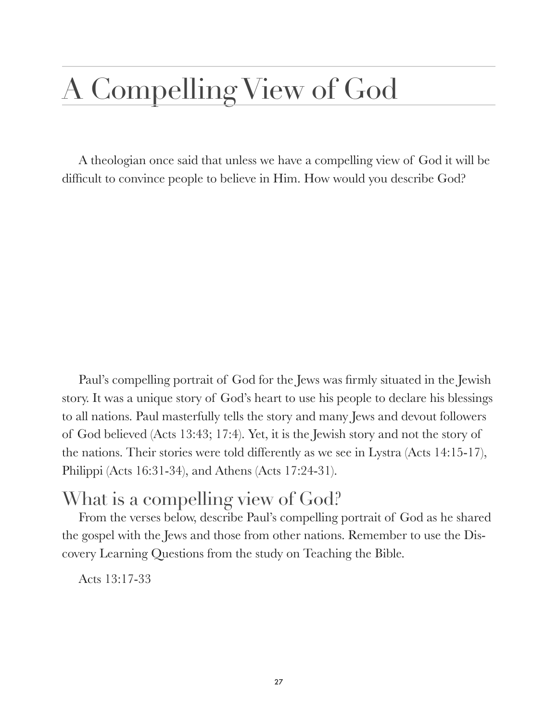# A Compelling View of God

A theologian once said that unless we have a compelling view of God it will be difficult to convince people to believe in Him. How would you describe God?

Paul's compelling portrait of God for the Jews was firmly situated in the Jewish story. It was a unique story of God's heart to use his people to declare his blessings to all nations. Paul masterfully tells the story and many Jews and devout followers of God believed (Acts 13:43; 17:4). Yet, it is the Jewish story and not the story of the nations. Their stories were told differently as we see in Lystra (Acts 14:15-17), Philippi (Acts 16:31-34), and Athens (Acts 17:24-31).

#### What is a compelling view of God?

From the verses below, describe Paul's compelling portrait of God as he shared the gospel with the Jews and those from other nations. Remember to use the Discovery Learning Questions from the study on Teaching the Bible.

Acts 13:17-33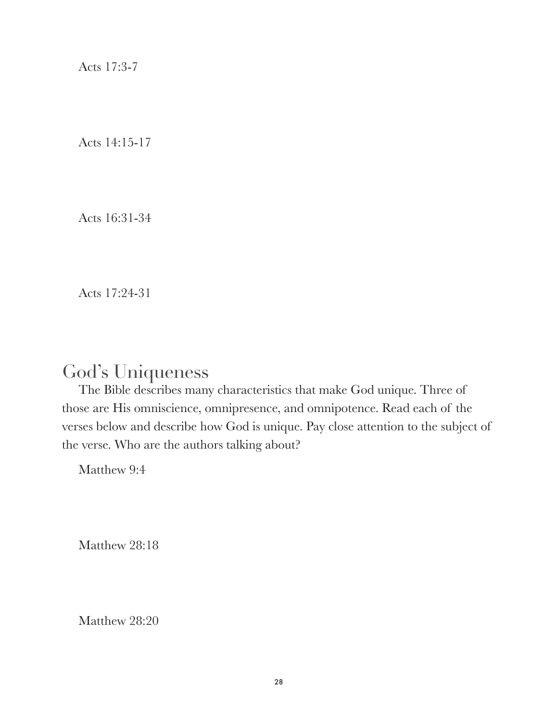Acts 17:3-7

Acts 14:15-17

Acts 16:31-34

Acts 17:24-31

### God's Uniqueness

The Bible describes many characteristics that make God unique. Three of those are His omniscience, omnipresence, and omnipotence. Read each of the verses below and describe how God is unique. Pay close attention to the subject of the verse. Who are the authors talking about?

Matthew 9:4

Matthew 28:18

Matthew 28:20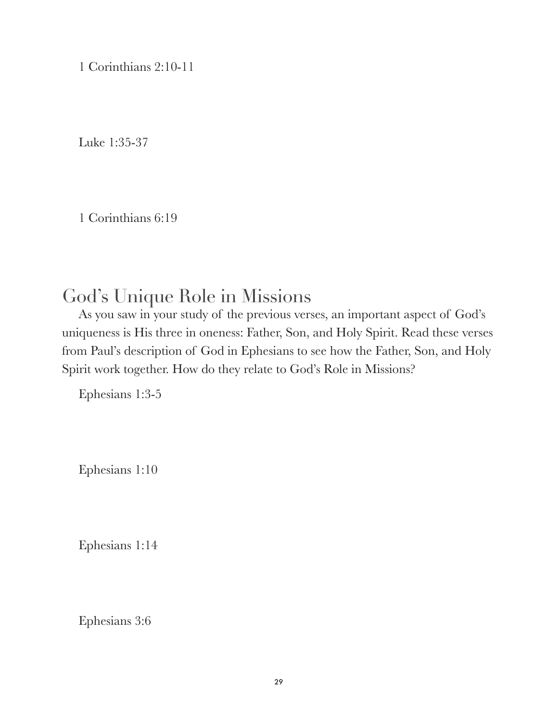1 Corinthians 2:10-11

Luke 1:35-37

1 Corinthians 6:19

### God's Unique Role in Missions

As you saw in your study of the previous verses, an important aspect of God's uniqueness is His three in oneness: Father, Son, and Holy Spirit. Read these verses from Paul's description of God in Ephesians to see how the Father, Son, and Holy Spirit work together. How do they relate to God's Role in Missions?

Ephesians 1:3-5

Ephesians 1:10

Ephesians 1:14

Ephesians 3:6